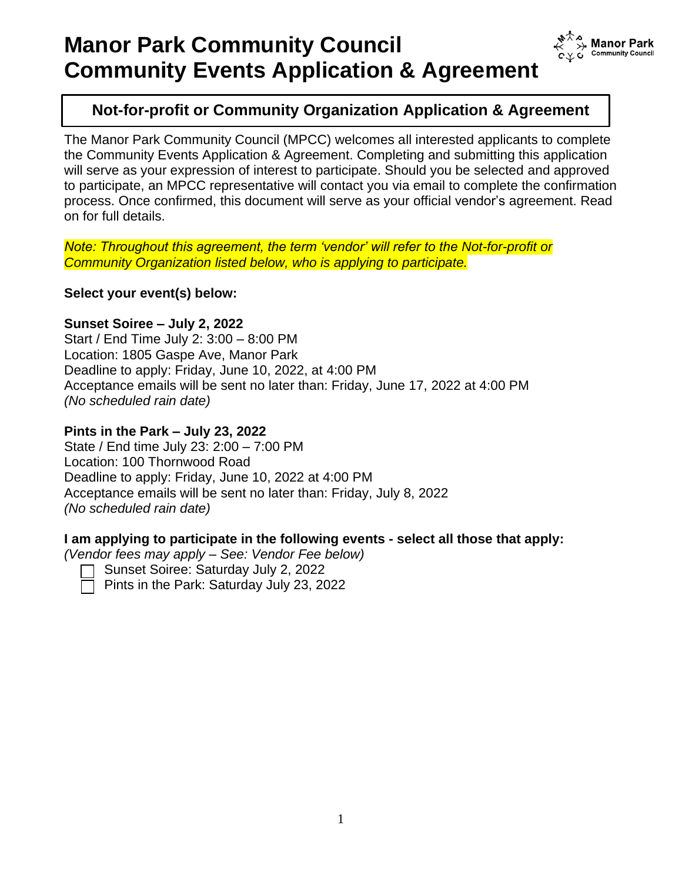

**Manor Park Community Counci** 

The Manor Park Community Council (MPCC) welcomes all interested applicants to complete the Community Events Application & Agreement. Completing and submitting this application will serve as your expression of interest to participate. Should you be selected and approved to participate, an MPCC representative will contact you via email to complete the confirmation process. Once confirmed, this document will serve as your official vendor's agreement. Read on for full details.

*Note: Throughout this agreement, the term 'vendor' will refer to the Not-for-profit or Community Organization listed below, who is applying to participate.*

**Select your event(s) below:**

### **Sunset Soiree – July 2, 2022**

Start / End Time July 2: 3:00 – 8:00 PM Location: 1805 Gaspe Ave, Manor Park Deadline to apply: Friday, June 10, 2022, at 4:00 PM Acceptance emails will be sent no later than: Friday, June 17, 2022 at 4:00 PM *(No scheduled rain date)*

## **Pints in the Park – July 23, 2022**

State / End time July 23: 2:00 – 7:00 PM Location: 100 Thornwood Road Deadline to apply: Friday, June 10, 2022 at 4:00 PM Acceptance emails will be sent no later than: Friday, July 8, 2022 *(No scheduled rain date)*

### **I am applying to participate in the following events - select all those that apply:**

*(Vendor fees may apply – See: Vendor Fee below)*



Sunset Soiree: Saturday July 2, 2022

Pints in the Park: Saturday July 23, 2022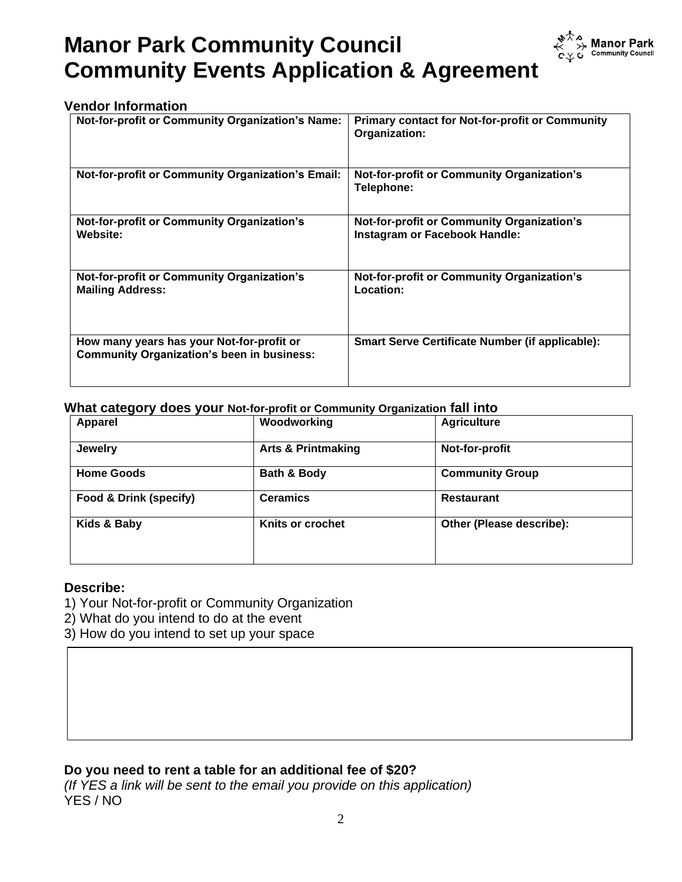

## **Vendor Information**

| Not-for-profit or Community Organization's Name:                                               | <b>Primary contact for Not-for-profit or Community</b><br>Organization:            |
|------------------------------------------------------------------------------------------------|------------------------------------------------------------------------------------|
| <b>Not-for-profit or Community Organization's Email:</b>                                       | <b>Not-for-profit or Community Organization's</b><br>Telephone:                    |
| <b>Not-for-profit or Community Organization's</b><br>Website:                                  | <b>Not-for-profit or Community Organization's</b><br>Instagram or Facebook Handle: |
| Not-for-profit or Community Organization's<br><b>Mailing Address:</b>                          | <b>Not-for-profit or Community Organization's</b><br>Location:                     |
| How many years has your Not-for-profit or<br><b>Community Organization's been in business:</b> | <b>Smart Serve Certificate Number (if applicable):</b>                             |

#### **What category does your Not-for-profit or Community Organization fall into**

| $\overline{\phantom{a}}$ | . .                           |                          |
|--------------------------|-------------------------------|--------------------------|
| <b>Apparel</b>           | Woodworking                   | <b>Agriculture</b>       |
| <b>Jewelry</b>           | <b>Arts &amp; Printmaking</b> | Not-for-profit           |
| <b>Home Goods</b>        | Bath & Body                   | <b>Community Group</b>   |
| Food & Drink (specify)   | <b>Ceramics</b>               | <b>Restaurant</b>        |
| Kids & Baby              | Knits or crochet              | Other (Please describe): |

#### **Describe:**

- 1) Your Not-for-profit or Community Organization
- 2) What do you intend to do at the event
- 3) How do you intend to set up your space

## **Do you need to rent a table for an additional fee of \$20?**

*(If YES a link will be sent to the email you provide on this application)* YES / NO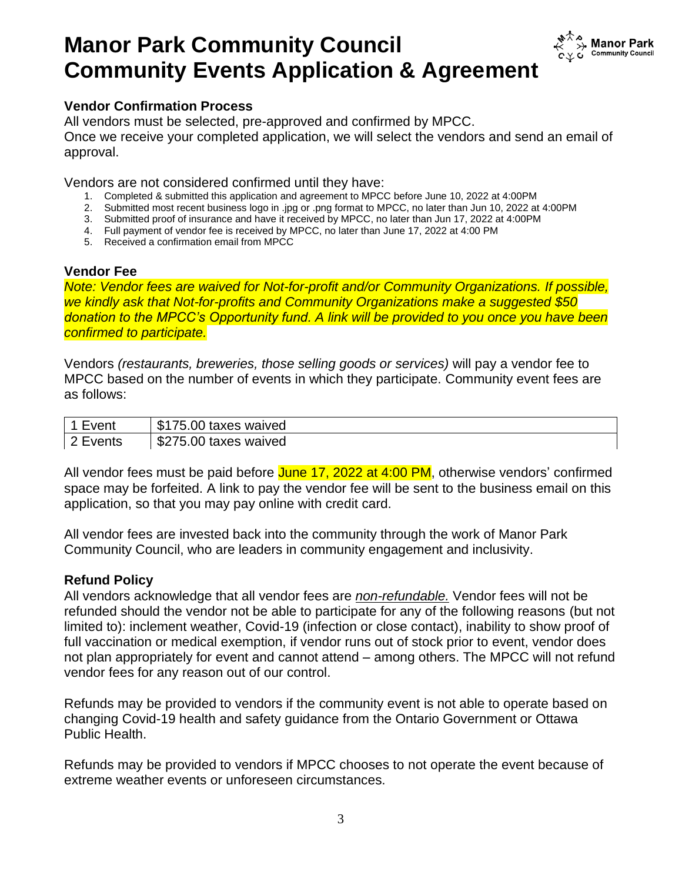

# **Vendor Confirmation Process**

All vendors must be selected, pre-approved and confirmed by MPCC. Once we receive your completed application, we will select the vendors and send an email of approval.

Vendors are not considered confirmed until they have:

- 1. Completed & submitted this application and agreement to MPCC before June 10, 2022 at 4:00PM
- 2. Submitted most recent business logo in .jpg or .png format to MPCC, no later than Jun 10, 2022 at 4:00PM
- 3. Submitted proof of insurance and have it received by MPCC, no later than Jun 17, 2022 at 4:00PM
- 4. Full payment of vendor fee is received by MPCC, no later than June 17, 2022 at 4:00 PM
- 5. Received a confirmation email from MPCC

### **Vendor Fee**

*Note: Vendor fees are waived for Not-for-profit and/or Community Organizations. If possible, we kindly ask that Not-for-profits and Community Organizations make a suggested \$50 donation to the MPCC's Opportunity fund. A link will be provided to you once you have been confirmed to participate.*

Vendors *(restaurants, breweries, those selling goods or services)* will pay a vendor fee to MPCC based on the number of events in which they participate. Community event fees are as follows:

|    | ௱<br>taxes<br>waived<br>5.UU<br>۰D.    |
|----|----------------------------------------|
| πь | ጦ<br>5.00<br>taxes<br>waived<br>. ∟ ک0 |

All vendor fees must be paid before June 17, 2022 at 4:00 PM, otherwise vendors' confirmed space may be forfeited. A link to pay the vendor fee will be sent to the business email on this application, so that you may pay online with credit card.

All vendor fees are invested back into the community through the work of Manor Park Community Council, who are leaders in community engagement and inclusivity.

### **Refund Policy**

All vendors acknowledge that all vendor fees are *non-refundable.* Vendor fees will not be refunded should the vendor not be able to participate for any of the following reasons (but not limited to): inclement weather, Covid-19 (infection or close contact), inability to show proof of full vaccination or medical exemption, if vendor runs out of stock prior to event, vendor does not plan appropriately for event and cannot attend – among others. The MPCC will not refund vendor fees for any reason out of our control.

Refunds may be provided to vendors if the community event is not able to operate based on changing Covid-19 health and safety guidance from the Ontario Government or Ottawa Public Health.

Refunds may be provided to vendors if MPCC chooses to not operate the event because of extreme weather events or unforeseen circumstances.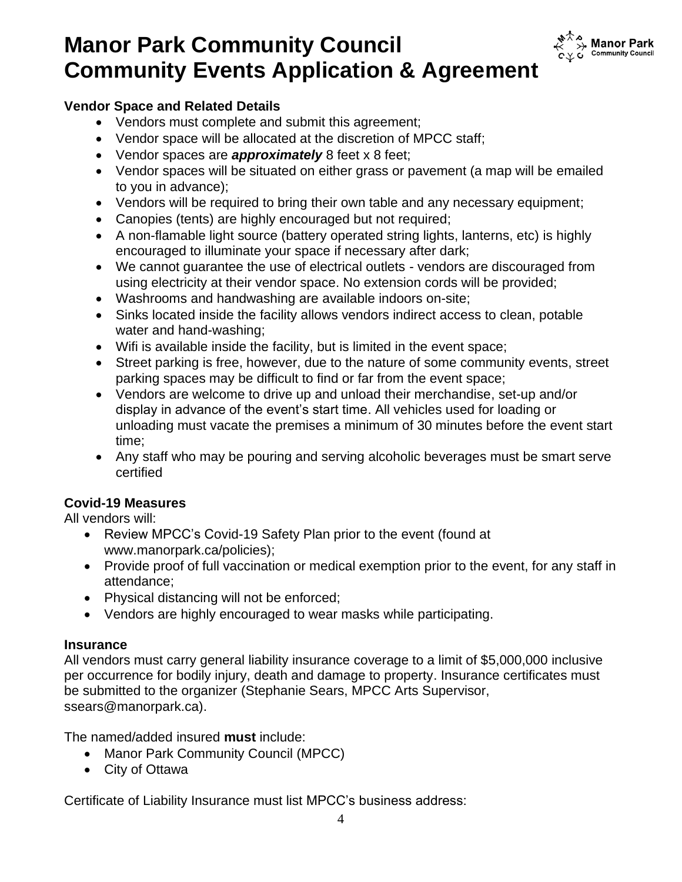

# **Vendor Space and Related Details**

- Vendors must complete and submit this agreement;
- Vendor space will be allocated at the discretion of MPCC staff;
- Vendor spaces are *approximately* 8 feet x 8 feet;
- Vendor spaces will be situated on either grass or pavement (a map will be emailed to you in advance);
- Vendors will be required to bring their own table and any necessary equipment;
- Canopies (tents) are highly encouraged but not required;
- A non-flamable light source (battery operated string lights, lanterns, etc) is highly encouraged to illuminate your space if necessary after dark;
- We cannot guarantee the use of electrical outlets vendors are discouraged from using electricity at their vendor space. No extension cords will be provided;
- Washrooms and handwashing are available indoors on-site;
- Sinks located inside the facility allows vendors indirect access to clean, potable water and hand-washing;
- Wifi is available inside the facility, but is limited in the event space;
- Street parking is free, however, due to the nature of some community events, street parking spaces may be difficult to find or far from the event space;
- Vendors are welcome to drive up and unload their merchandise, set-up and/or display in advance of the event's start time. All vehicles used for loading or unloading must vacate the premises a minimum of 30 minutes before the event start time;
- Any staff who may be pouring and serving alcoholic beverages must be smart serve certified

# **Covid-19 Measures**

All vendors will:

- Review MPCC's Covid-19 Safety Plan prior to the event (found at www.manorpark.ca/policies);
- Provide proof of full vaccination or medical exemption prior to the event, for any staff in attendance;
- Physical distancing will not be enforced;
- Vendors are highly encouraged to wear masks while participating.

## **Insurance**

All vendors must carry general liability insurance coverage to a limit of \$5,000,000 inclusive per occurrence for bodily injury, death and damage to property. Insurance certificates must be submitted to the organizer (Stephanie Sears, MPCC Arts Supervisor, ssears@manorpark.ca).

The named/added insured **must** include:

- Manor Park Community Council (MPCC)
- City of Ottawa

Certificate of Liability Insurance must list MPCC's business address: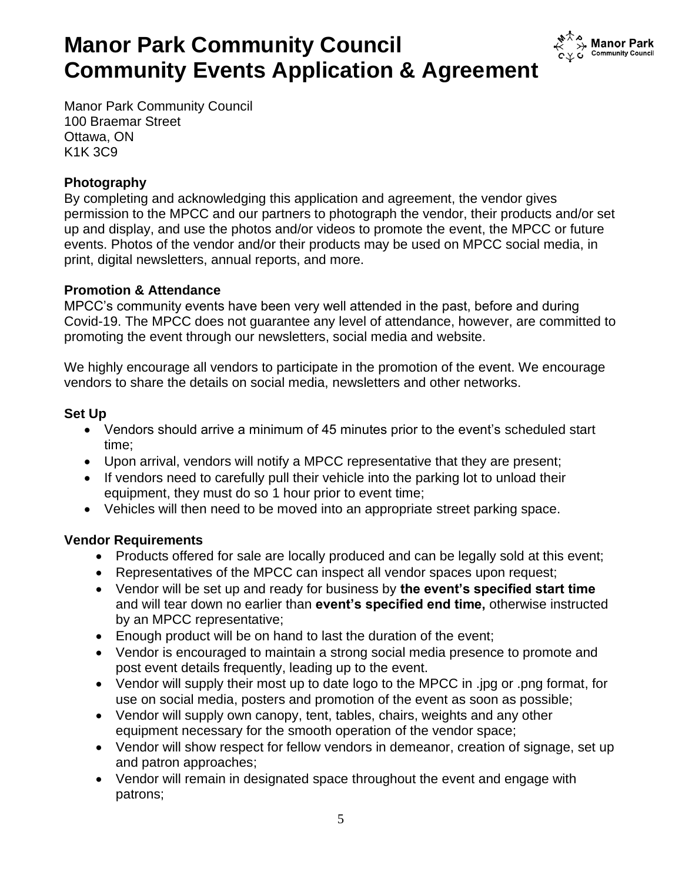

Manor Park Community Council 100 Braemar Street Ottawa, ON K1K 3C9

## **Photography**

By completing and acknowledging this application and agreement, the vendor gives permission to the MPCC and our partners to photograph the vendor, their products and/or set up and display, and use the photos and/or videos to promote the event, the MPCC or future events. Photos of the vendor and/or their products may be used on MPCC social media, in print, digital newsletters, annual reports, and more.

### **Promotion & Attendance**

MPCC's community events have been very well attended in the past, before and during Covid-19. The MPCC does not guarantee any level of attendance, however, are committed to promoting the event through our newsletters, social media and website.

We highly encourage all vendors to participate in the promotion of the event. We encourage vendors to share the details on social media, newsletters and other networks.

## **Set Up**

- Vendors should arrive a minimum of 45 minutes prior to the event's scheduled start time;
- Upon arrival, vendors will notify a MPCC representative that they are present;
- If vendors need to carefully pull their vehicle into the parking lot to unload their equipment, they must do so 1 hour prior to event time;
- Vehicles will then need to be moved into an appropriate street parking space.

## **Vendor Requirements**

- Products offered for sale are locally produced and can be legally sold at this event;
- Representatives of the MPCC can inspect all vendor spaces upon request;
- Vendor will be set up and ready for business by **the event's specified start time** and will tear down no earlier than **event's specified end time,** otherwise instructed by an MPCC representative;
- Enough product will be on hand to last the duration of the event;
- Vendor is encouraged to maintain a strong social media presence to promote and post event details frequently, leading up to the event.
- Vendor will supply their most up to date logo to the MPCC in .jpg or .png format, for use on social media, posters and promotion of the event as soon as possible;
- Vendor will supply own canopy, tent, tables, chairs, weights and any other equipment necessary for the smooth operation of the vendor space;
- Vendor will show respect for fellow vendors in demeanor, creation of signage, set up and patron approaches;
- Vendor will remain in designated space throughout the event and engage with patrons;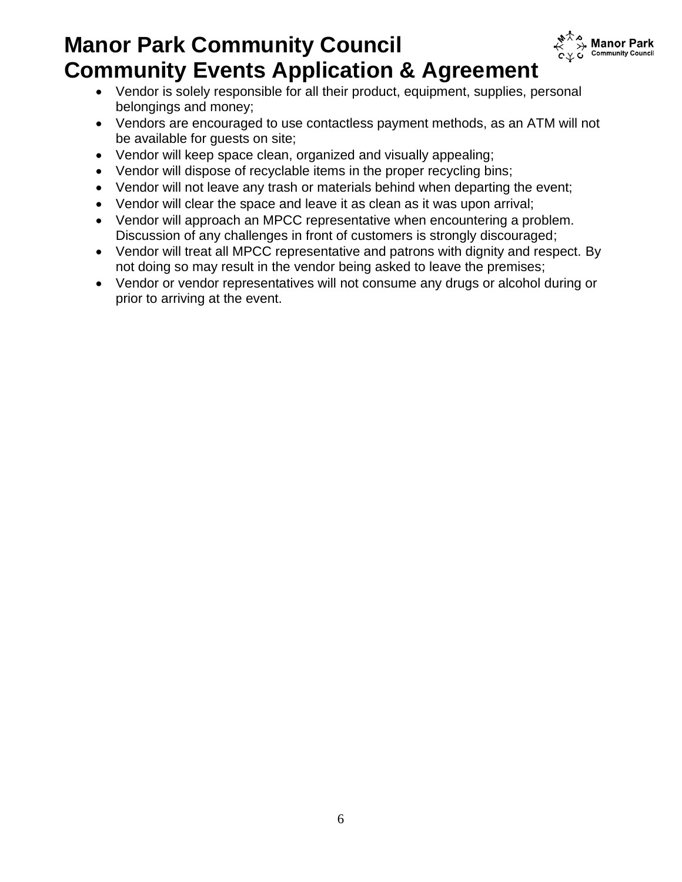

- Vendor is solely responsible for all their product, equipment, supplies, personal belongings and money;
- Vendors are encouraged to use contactless payment methods, as an ATM will not be available for guests on site;
- Vendor will keep space clean, organized and visually appealing;
- Vendor will dispose of recyclable items in the proper recycling bins;
- Vendor will not leave any trash or materials behind when departing the event;
- Vendor will clear the space and leave it as clean as it was upon arrival;
- Vendor will approach an MPCC representative when encountering a problem. Discussion of any challenges in front of customers is strongly discouraged;
- Vendor will treat all MPCC representative and patrons with dignity and respect. By not doing so may result in the vendor being asked to leave the premises;
- Vendor or vendor representatives will not consume any drugs or alcohol during or prior to arriving at the event.